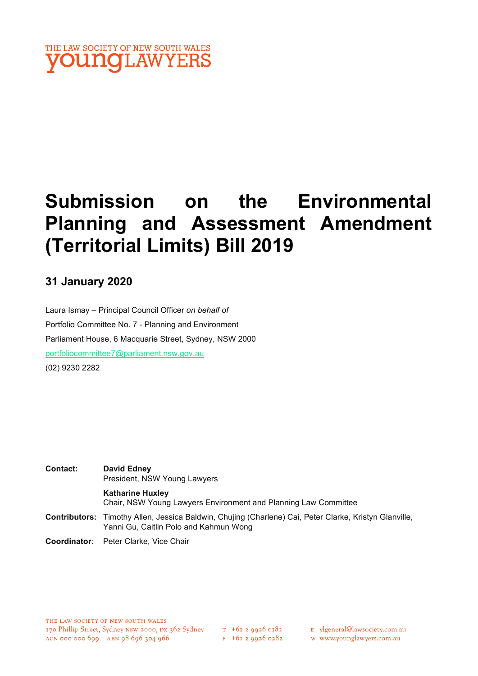

# Submission on the Environmental Planning and Assessment Amendment (Territorial Limits) Bill 2019

## 31 January 2020

Laura Ismay – Principal Council Officer on behalf of Portfolio Committee No. 7 - Planning and Environment Parliament House, 6 Macquarie Street, Sydney, NSW 2000 portfoliocommittee7@parliament.nsw.gov.au (02) 9230 2282

| <b>Contact:</b> | <b>David Edney</b><br>President, NSW Young Lawyers                                                                                                      |  |
|-----------------|---------------------------------------------------------------------------------------------------------------------------------------------------------|--|
|                 | <b>Katharine Huxley</b><br>Chair, NSW Young Lawyers Environment and Planning Law Committee                                                              |  |
|                 | <b>Contributors:</b> Timothy Allen, Jessica Baldwin, Chujing (Charlene) Cai, Peter Clarke, Kristyn Glanville,<br>Yanni Gu, Caitlin Polo and Kahmun Wong |  |

Coordinator: Peter Clarke, Vice Chair

- E ylgeneral@lawsociety.com.au
- w www.younglawyers.com.au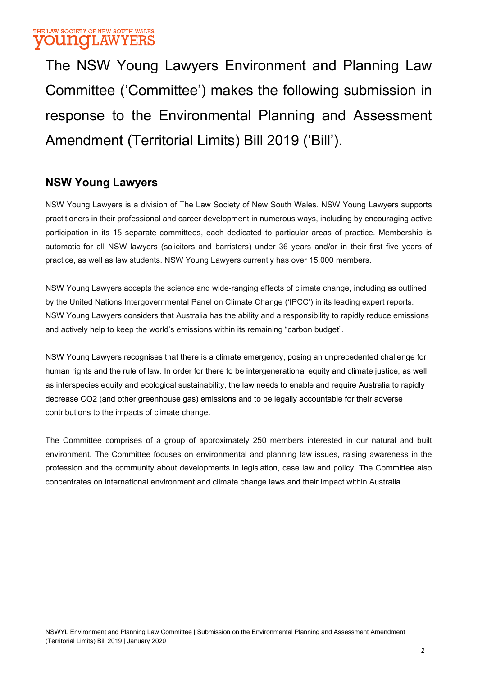## THE LAW SOCIETY OF NEW SOUTH WALES **VOUNGLAWYERS**

The NSW Young Lawyers Environment and Planning Law Committee ('Committee') makes the following submission in response to the Environmental Planning and Assessment Amendment (Territorial Limits) Bill 2019 ('Bill').

## NSW Young Lawyers

NSW Young Lawyers is a division of The Law Society of New South Wales. NSW Young Lawyers supports practitioners in their professional and career development in numerous ways, including by encouraging active participation in its 15 separate committees, each dedicated to particular areas of practice. Membership is automatic for all NSW lawyers (solicitors and barristers) under 36 years and/or in their first five years of practice, as well as law students. NSW Young Lawyers currently has over 15,000 members.

NSW Young Lawyers accepts the science and wide-ranging effects of climate change, including as outlined by the United Nations Intergovernmental Panel on Climate Change ('IPCC') in its leading expert reports. NSW Young Lawyers considers that Australia has the ability and a responsibility to rapidly reduce emissions and actively help to keep the world's emissions within its remaining "carbon budget".

NSW Young Lawyers recognises that there is a climate emergency, posing an unprecedented challenge for human rights and the rule of law. In order for there to be intergenerational equity and climate justice, as well as interspecies equity and ecological sustainability, the law needs to enable and require Australia to rapidly decrease CO2 (and other greenhouse gas) emissions and to be legally accountable for their adverse contributions to the impacts of climate change.

The Committee comprises of a group of approximately 250 members interested in our natural and built environment. The Committee focuses on environmental and planning law issues, raising awareness in the profession and the community about developments in legislation, case law and policy. The Committee also concentrates on international environment and climate change laws and their impact within Australia.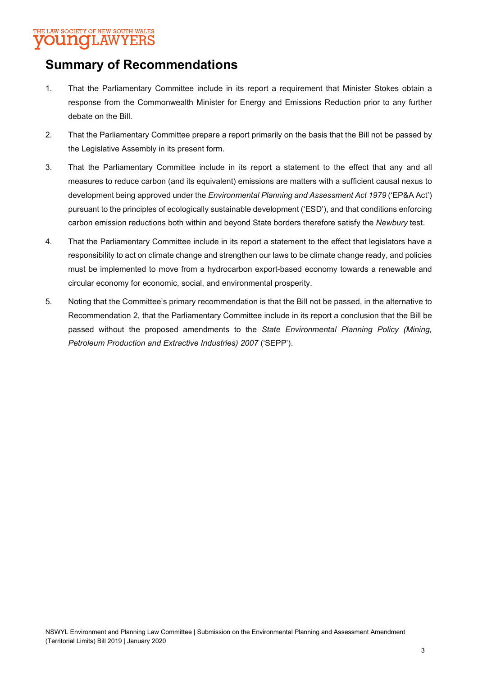### THE LAW SOCIETY OF NEW SOUTH WALES **OUNOLAWYERS**

# Summary of Recommendations

- 1. That the Parliamentary Committee include in its report a requirement that Minister Stokes obtain a response from the Commonwealth Minister for Energy and Emissions Reduction prior to any further debate on the Bill.
- 2. That the Parliamentary Committee prepare a report primarily on the basis that the Bill not be passed by the Legislative Assembly in its present form.
- 3. That the Parliamentary Committee include in its report a statement to the effect that any and all measures to reduce carbon (and its equivalent) emissions are matters with a sufficient causal nexus to development being approved under the *Environmental Planning and Assessment Act 1979* ('EP&A Act') pursuant to the principles of ecologically sustainable development ('ESD'), and that conditions enforcing carbon emission reductions both within and beyond State borders therefore satisfy the Newbury test.
- 4. That the Parliamentary Committee include in its report a statement to the effect that legislators have a responsibility to act on climate change and strengthen our laws to be climate change ready, and policies must be implemented to move from a hydrocarbon export-based economy towards a renewable and circular economy for economic, social, and environmental prosperity.
- 5. Noting that the Committee's primary recommendation is that the Bill not be passed, in the alternative to Recommendation 2, that the Parliamentary Committee include in its report a conclusion that the Bill be passed without the proposed amendments to the State Environmental Planning Policy (Mining, Petroleum Production and Extractive Industries) 2007 ('SEPP').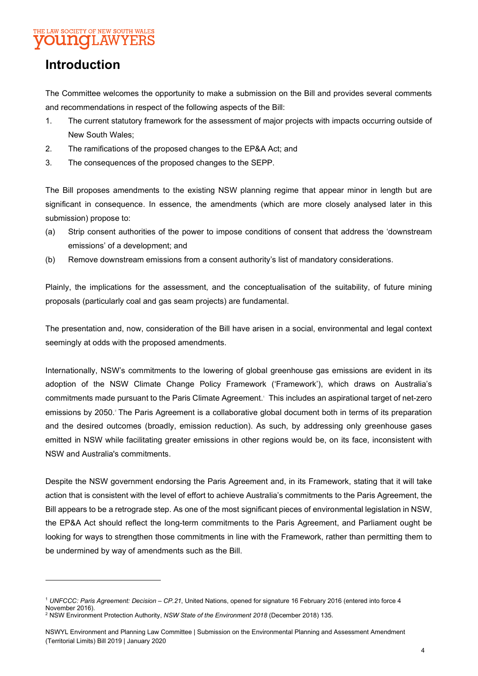### THE LAW SOCIETY OF NEW SOUTH WALES **UNOLAWYEE**

# Introduction

The Committee welcomes the opportunity to make a submission on the Bill and provides several comments and recommendations in respect of the following aspects of the Bill:

- 1. The current statutory framework for the assessment of major projects with impacts occurring outside of New South Wales;
- 2. The ramifications of the proposed changes to the EP&A Act; and
- 3. The consequences of the proposed changes to the SEPP.

The Bill proposes amendments to the existing NSW planning regime that appear minor in length but are significant in consequence. In essence, the amendments (which are more closely analysed later in this submission) propose to:

- (a) Strip consent authorities of the power to impose conditions of consent that address the 'downstream emissions' of a development; and
- (b) Remove downstream emissions from a consent authority's list of mandatory considerations.

Plainly, the implications for the assessment, and the conceptualisation of the suitability, of future mining proposals (particularly coal and gas seam projects) are fundamental.

The presentation and, now, consideration of the Bill have arisen in a social, environmental and legal context seemingly at odds with the proposed amendments.

Internationally, NSW's commitments to the lowering of global greenhouse gas emissions are evident in its adoption of the NSW Climate Change Policy Framework ('Framework'), which draws on Australia's commitments made pursuant to the Paris Climate Agreement. This includes an aspirational target of net-zero emissions by 2050. The Paris Agreement is a collaborative global document both in terms of its preparation and the desired outcomes (broadly, emission reduction). As such, by addressing only greenhouse gases emitted in NSW while facilitating greater emissions in other regions would be, on its face, inconsistent with NSW and Australia's commitments.

Despite the NSW government endorsing the Paris Agreement and, in its Framework, stating that it will take action that is consistent with the level of effort to achieve Australia's commitments to the Paris Agreement, the Bill appears to be a retrograde step. As one of the most significant pieces of environmental legislation in NSW, the EP&A Act should reflect the long-term commitments to the Paris Agreement, and Parliament ought be looking for ways to strengthen those commitments in line with the Framework, rather than permitting them to be undermined by way of amendments such as the Bill.

<sup>1</sup> UNFCCC: Paris Agreement: Decision – CP.21, United Nations, opened for signature 16 February 2016 (entered into force 4 November 2016). <sup>2</sup> NSW Environment Protection Authority, NSW State of the Environment 2018 (December 2018) 135.

NSWYL Environment and Planning Law Committee | Submission on the Environmental Planning and Assessment Amendment (Territorial Limits) Bill 2019 | January 2020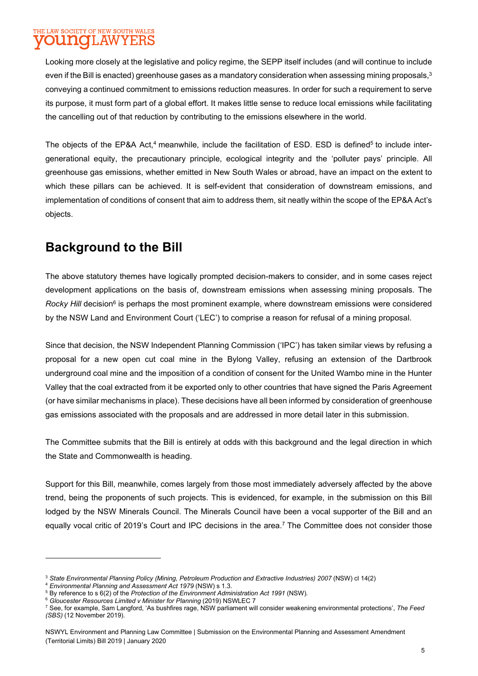### THE LAW SOCIETY OF NEW SOUTH WALES U NOTLAW YERS

Looking more closely at the legislative and policy regime, the SEPP itself includes (and will continue to include even if the Bill is enacted) greenhouse gases as a mandatory consideration when assessing mining proposals,<sup>3</sup> conveying a continued commitment to emissions reduction measures. In order for such a requirement to serve its purpose, it must form part of a global effort. It makes little sense to reduce local emissions while facilitating the cancelling out of that reduction by contributing to the emissions elsewhere in the world.

The objects of the EP&A Act,<sup>4</sup> meanwhile, include the facilitation of ESD. ESD is defined<sup>5</sup> to include intergenerational equity, the precautionary principle, ecological integrity and the 'polluter pays' principle. All greenhouse gas emissions, whether emitted in New South Wales or abroad, have an impact on the extent to which these pillars can be achieved. It is self-evident that consideration of downstream emissions, and implementation of conditions of consent that aim to address them, sit neatly within the scope of the EP&A Act's objects.

# Background to the Bill

The above statutory themes have logically prompted decision-makers to consider, and in some cases reject development applications on the basis of, downstream emissions when assessing mining proposals. The Rocky Hill decision<sup>6</sup> is perhaps the most prominent example, where downstream emissions were considered by the NSW Land and Environment Court ('LEC') to comprise a reason for refusal of a mining proposal.

Since that decision, the NSW Independent Planning Commission ('IPC') has taken similar views by refusing a proposal for a new open cut coal mine in the Bylong Valley, refusing an extension of the Dartbrook underground coal mine and the imposition of a condition of consent for the United Wambo mine in the Hunter Valley that the coal extracted from it be exported only to other countries that have signed the Paris Agreement (or have similar mechanisms in place). These decisions have all been informed by consideration of greenhouse gas emissions associated with the proposals and are addressed in more detail later in this submission.

The Committee submits that the Bill is entirely at odds with this background and the legal direction in which the State and Commonwealth is heading.

Support for this Bill, meanwhile, comes largely from those most immediately adversely affected by the above trend, being the proponents of such projects. This is evidenced, for example, in the submission on this Bill lodged by the NSW Minerals Council. The Minerals Council have been a vocal supporter of the Bill and an equally vocal critic of 2019's Court and IPC decisions in the area.<sup>7</sup> The Committee does not consider those

<sup>6</sup> Gloucester Resources Limited v Minister for Planning (2019) NSWLEC 7

<sup>&</sup>lt;sup>3</sup> State Environmental Planning Policy (Mining, Petroleum Production and Extractive Industries) 2007 (NSW) cl 14(2)

<sup>4</sup> Environmental Planning and Assessment Act 1979 (NSW) s 1.3.

 $5$  By reference to s 6(2) of the Protection of the Environment Administration Act 1991 (NSW).

 $^7$  See, for example, Sam Langford, 'As bushfires rage, NSW parliament will consider weakening environmental protections', *The Feed* (SBS) (12 November 2019).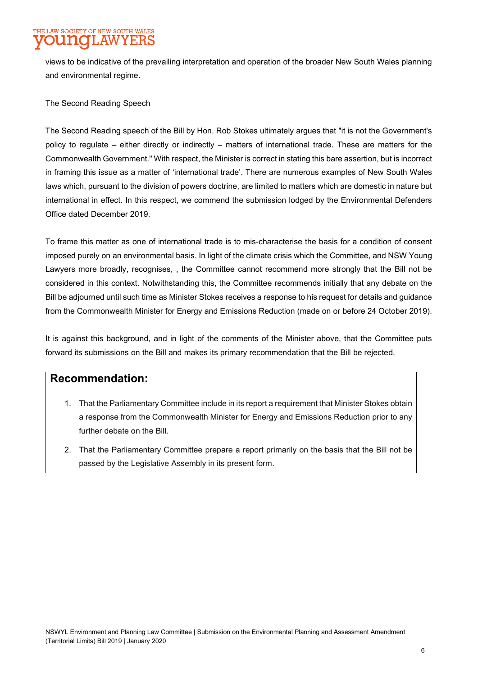# HE LAW SOCIETY OF NEW SOUTH WALES

views to be indicative of the prevailing interpretation and operation of the broader New South Wales planning and environmental regime.

### The Second Reading Speech

The Second Reading speech of the Bill by Hon. Rob Stokes ultimately argues that "it is not the Government's policy to regulate – either directly or indirectly – matters of international trade. These are matters for the Commonwealth Government." With respect, the Minister is correct in stating this bare assertion, but is incorrect in framing this issue as a matter of 'international trade'. There are numerous examples of New South Wales laws which, pursuant to the division of powers doctrine, are limited to matters which are domestic in nature but international in effect. In this respect, we commend the submission lodged by the Environmental Defenders Office dated December 2019.

To frame this matter as one of international trade is to mis-characterise the basis for a condition of consent imposed purely on an environmental basis. In light of the climate crisis which the Committee, and NSW Young Lawyers more broadly, recognises, , the Committee cannot recommend more strongly that the Bill not be considered in this context. Notwithstanding this, the Committee recommends initially that any debate on the Bill be adjourned until such time as Minister Stokes receives a response to his request for details and guidance from the Commonwealth Minister for Energy and Emissions Reduction (made on or before 24 October 2019).

It is against this background, and in light of the comments of the Minister above, that the Committee puts forward its submissions on the Bill and makes its primary recommendation that the Bill be rejected.

### Recommendation:

- 1. That the Parliamentary Committee include in its report a requirement that Minister Stokes obtain a response from the Commonwealth Minister for Energy and Emissions Reduction prior to any further debate on the Bill
- 2. That the Parliamentary Committee prepare a report primarily on the basis that the Bill not be passed by the Legislative Assembly in its present form.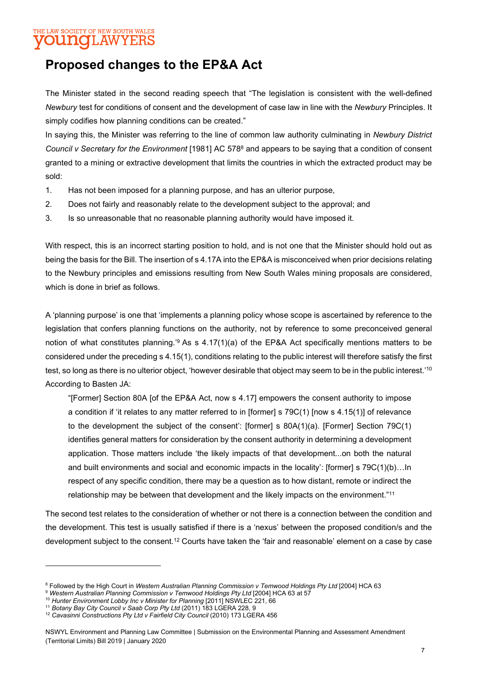### THE LAW SOCIETY OF NEW SOUTH WALES **UNOT AWYER**

## Proposed changes to the EP&A Act

The Minister stated in the second reading speech that "The legislation is consistent with the well-defined Newbury test for conditions of consent and the development of case law in line with the Newbury Principles. It simply codifies how planning conditions can be created."

In saying this, the Minister was referring to the line of common law authority culminating in Newbury District Council v Secretary for the Environment [1981] AC 578<sup>8</sup> and appears to be saying that a condition of consent granted to a mining or extractive development that limits the countries in which the extracted product may be sold:

- 1. Has not been imposed for a planning purpose, and has an ulterior purpose,
- 2. Does not fairly and reasonably relate to the development subject to the approval; and
- 3. Is so unreasonable that no reasonable planning authority would have imposed it.

With respect, this is an incorrect starting position to hold, and is not one that the Minister should hold out as being the basis for the Bill. The insertion of s 4.17A into the EP&A is misconceived when prior decisions relating to the Newbury principles and emissions resulting from New South Wales mining proposals are considered, which is done in brief as follows.

A 'planning purpose' is one that 'implements a planning policy whose scope is ascertained by reference to the legislation that confers planning functions on the authority, not by reference to some preconceived general notion of what constitutes planning.<sup>3</sup> As s 4.17(1)(a) of the EP&A Act specifically mentions matters to be considered under the preceding s 4.15(1), conditions relating to the public interest will therefore satisfy the first test, so long as there is no ulterior object, 'however desirable that object may seem to be in the public interest.'<sup>10</sup> According to Basten JA:

"[Former] Section 80A [of the EP&A Act, now s 4.17] empowers the consent authority to impose a condition if 'it relates to any matter referred to in [former] s 79C(1) [now s 4.15(1)] of relevance to the development the subject of the consent': [former] s 80A(1)(a). [Former] Section 79C(1) identifies general matters for consideration by the consent authority in determining a development application. Those matters include 'the likely impacts of that development...on both the natural and built environments and social and economic impacts in the locality': [former] s 79C(1)(b)…In respect of any specific condition, there may be a question as to how distant, remote or indirect the relationship may be between that development and the likely impacts on the environment." $^{11}$ 

The second test relates to the consideration of whether or not there is a connection between the condition and the development. This test is usually satisfied if there is a 'nexus' between the proposed condition/s and the development subject to the consent.<sup>12</sup> Courts have taken the 'fair and reasonable' element on a case by case

<sup>&</sup>lt;sup>8</sup> Followed by the High Court in Western Australian Planning Commission v Temwood Holdings Pty Ltd [2004] HCA 63

<sup>&</sup>lt;sup>9</sup> Western Australian Planning Commission v Temwood Holdings Pty Ltd [2004] HCA 63 at 57

<sup>&</sup>lt;sup>10</sup> Hunter Environment Lobby Inc v Minister for Planning [2011] NSWLEC 221, 66

<sup>&</sup>lt;sup>11</sup> Botany Bay City Council v Saab Corp Pty Ltd (2011) 183 LGERA 228, 9

<sup>&</sup>lt;sup>12</sup> Cavasinni Constructions Pty Ltd v Fairfield City Council (2010) 173 LGERA 456

NSWYL Environment and Planning Law Committee | Submission on the Environmental Planning and Assessment Amendment (Territorial Limits) Bill 2019 | January 2020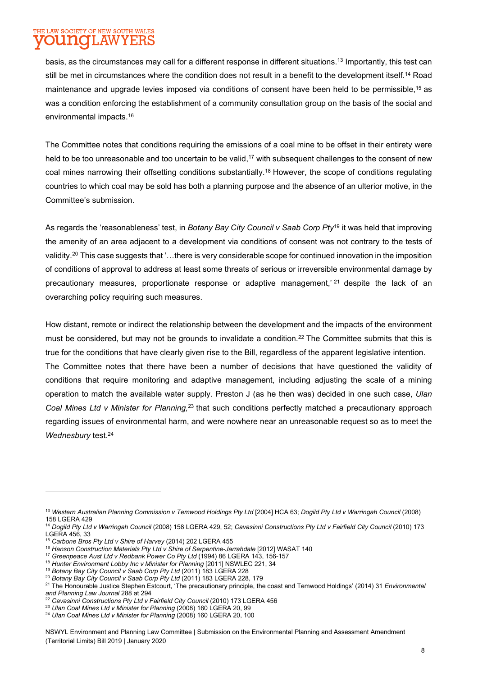#### THE LAW SOCIETY OF NEW SOUTH WALES **INGH.AW** IY E.F

basis, as the circumstances may call for a different response in different situations.<sup>13</sup> Importantly, this test can still be met in circumstances where the condition does not result in a benefit to the development itself.<sup>14</sup> Road maintenance and upgrade levies imposed via conditions of consent have been held to be permissible,<sup>15</sup> as was a condition enforcing the establishment of a community consultation group on the basis of the social and environmental impacts.<sup>16</sup>

The Committee notes that conditions requiring the emissions of a coal mine to be offset in their entirety were held to be too unreasonable and too uncertain to be valid,<sup>17</sup> with subsequent challenges to the consent of new coal mines narrowing their offsetting conditions substantially.<sup>18</sup> However, the scope of conditions regulating countries to which coal may be sold has both a planning purpose and the absence of an ulterior motive, in the Committee's submission.

As regards the 'reasonableness' test, in Botany Bay City Council v Saab Corp Pty<sup>19</sup> it was held that improving the amenity of an area adjacent to a development via conditions of consent was not contrary to the tests of validity.<sup>20</sup> This case suggests that '…there is very considerable scope for continued innovation in the imposition of conditions of approval to address at least some threats of serious or irreversible environmental damage by precautionary measures, proportionate response or adaptive management,<sup>' 21</sup> despite the lack of an overarching policy requiring such measures.

How distant, remote or indirect the relationship between the development and the impacts of the environment must be considered, but may not be grounds to invalidate a condition.<sup>22</sup> The Committee submits that this is true for the conditions that have clearly given rise to the Bill, regardless of the apparent legislative intention. The Committee notes that there have been a number of decisions that have questioned the validity of conditions that require monitoring and adaptive management, including adjusting the scale of a mining operation to match the available water supply. Preston J (as he then was) decided in one such case, Ulan Coal Mines Ltd v Minister for Planning,<sup>23</sup> that such conditions perfectly matched a precautionary approach regarding issues of environmental harm, and were nowhere near an unreasonable request so as to meet the Wednesbury test.<sup>24</sup>

NSWYL Environment and Planning Law Committee | Submission on the Environmental Planning and Assessment Amendment (Territorial Limits) Bill 2019 | January 2020

<sup>&</sup>lt;sup>13</sup> Western Australian Planning Commission v Temwood Holdings Pty Ltd [2004] HCA 63; Dogild Pty Ltd v Warringah Council (2008) 158 LGERA 429

<sup>&</sup>lt;sup>14</sup> Dogild Pty Ltd v Warringah Council (2008) 158 LGERA 429, 52; Cavasinni Constructions Pty Ltd v Fairfield City Council (2010) 173 LGERA 456, 33

<sup>&</sup>lt;sup>15</sup> Carbone Bros Pty Ltd v Shire of Harvey (2014) 202 LGERA 455

<sup>&</sup>lt;sup>16</sup> Hanson Construction Materials Pty Ltd v Shire of Serpentine-Jarrahdale [2012] WASAT 140

<sup>&</sup>lt;sup>17</sup> Greenpeace Aust Ltd v Redbank Power Co Pty Ltd (1994) 86 LGERA 143, 156-157

<sup>&</sup>lt;sup>18</sup> Hunter Environment Lobby Inc v Minister for Planning [2011] NSWLEC 221, 34

<sup>&</sup>lt;sup>19</sup> Botany Bay City Council v Saab Corp Pty Ltd (2011) 183 LGERA 228

<sup>&</sup>lt;sup>20</sup> Botany Bay City Council v Saab Corp Pty Ltd (2011) 183 LGERA 228, 179

<sup>&</sup>lt;sup>21</sup> The Honourable Justice Stephen Estcourt, 'The precautionary principle, the coast and Temwood Holdings' (2014) 31 Environmental and Planning Law Journal 288 at 294

<sup>&</sup>lt;sup>22</sup> Cavasinni Constructions Pty Ltd v Fairfield City Council (2010) 173 LGERA 456

<sup>&</sup>lt;sup>23</sup> Ulan Coal Mines Ltd v Minister for Planning (2008) 160 LGERA 20, 99

<sup>&</sup>lt;sup>24</sup> Ulan Coal Mines Ltd v Minister for Planning (2008) 160 LGERA 20, 100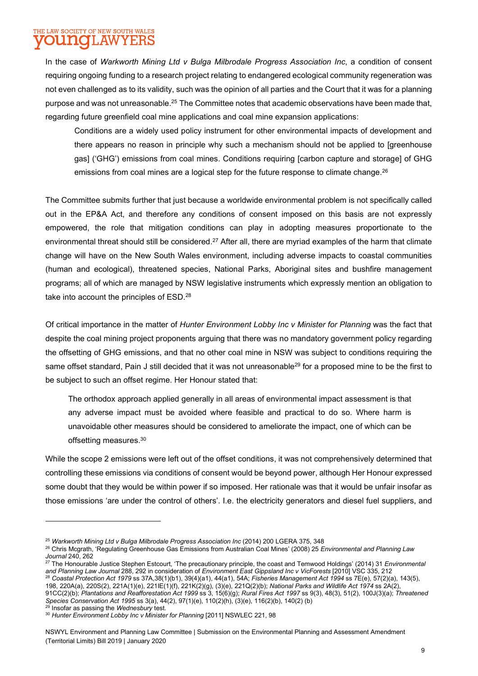#### THE LAW SOCIETY OF NEW SOUTH WALES **INOL AW YE:F**

In the case of Warkworth Mining Ltd v Bulga Milbrodale Progress Association Inc, a condition of consent requiring ongoing funding to a research project relating to endangered ecological community regeneration was not even challenged as to its validity, such was the opinion of all parties and the Court that it was for a planning purpose and was not unreasonable.<sup>25</sup> The Committee notes that academic observations have been made that, regarding future greenfield coal mine applications and coal mine expansion applications:

Conditions are a widely used policy instrument for other environmental impacts of development and there appears no reason in principle why such a mechanism should not be applied to [greenhouse gas] ('GHG') emissions from coal mines. Conditions requiring [carbon capture and storage] of GHG emissions from coal mines are a logical step for the future response to climate change.<sup>26</sup>

The Committee submits further that just because a worldwide environmental problem is not specifically called out in the EP&A Act, and therefore any conditions of consent imposed on this basis are not expressly empowered, the role that mitigation conditions can play in adopting measures proportionate to the environmental threat should still be considered.<sup>27</sup> After all, there are myriad examples of the harm that climate change will have on the New South Wales environment, including adverse impacts to coastal communities (human and ecological), threatened species, National Parks, Aboriginal sites and bushfire management programs; all of which are managed by NSW legislative instruments which expressly mention an obligation to take into account the principles of ESD.<sup>28</sup>

Of critical importance in the matter of Hunter Environment Lobby Inc v Minister for Planning was the fact that despite the coal mining project proponents arguing that there was no mandatory government policy regarding the offsetting of GHG emissions, and that no other coal mine in NSW was subject to conditions requiring the same offset standard, Pain J still decided that it was not unreasonable<sup>29</sup> for a proposed mine to be the first to be subject to such an offset regime. Her Honour stated that:

The orthodox approach applied generally in all areas of environmental impact assessment is that any adverse impact must be avoided where feasible and practical to do so. Where harm is unavoidable other measures should be considered to ameliorate the impact, one of which can be offsetting measures.<sup>30</sup>

While the scope 2 emissions were left out of the offset conditions, it was not comprehensively determined that controlling these emissions via conditions of consent would be beyond power, although Her Honour expressed some doubt that they would be within power if so imposed. Her rationale was that it would be unfair insofar as those emissions 'are under the control of others'. I.e. the electricity generators and diesel fuel suppliers, and

198, 220A(a), 220S(2), 221A(1)(e), 221IE(1)(f), 221K(2)(g), (3)(e), 221Q(2)(b); National Parks and Wildlife Act 1974 ss 2A(2),

<sup>29</sup> Insofar as passing the Wednesbury test.

<sup>&</sup>lt;sup>25</sup> Warkworth Mining Ltd v Bulga Milbrodale Progress Association Inc (2014) 200 LGERA 375, 348

<sup>&</sup>lt;sup>26</sup> Chris Mcgrath, 'Regulating Greenhouse Gas Emissions from Australian Coal Mines' (2008) 25 Environmental and Planning Law Journal 240, 262

<sup>&</sup>lt;sup>27</sup> The Honourable Justice Stephen Estcourt, 'The precautionary principle, the coast and Temwood Holdings' (2014) 31 *Environmental* and Planning Law Journal 288, 292 in consideration of Environment East Gippsland Inc v VicForests [2010] VSC 335, 212 <sup>28</sup> Coastal Protection Act 1979 ss 37A,38(1)(b1), 39(4)(a1), 44(a1), 54A; Fisheries Management Act 1994 ss 7E(e), 57(2)(a), 143(5),

<sup>91</sup>CC(2)(b); Plantations and Reafforestation Act 1999 ss 3, 15(6)(g); Rural Fires Act 1997 ss 9(3), 48(3), 51(2), 100J(3)(a); Threatened Species Conservation Act 1995 ss 3(a), 44(2), 97(1)(e), 110(2)(h), (3)(e), 116(2)(b), 140(2) (b)

<sup>&</sup>lt;sup>30</sup> Hunter Environment Lobby Inc v Minister for Planning [2011] NSWLEC 221, 98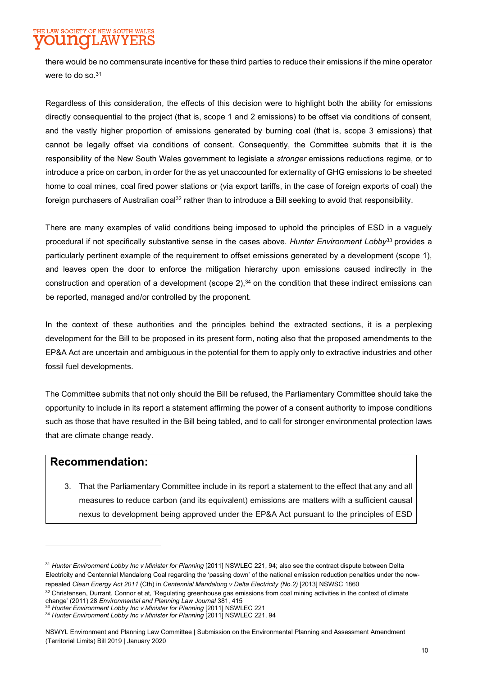# THE LAW SOCIETY OF NEW SOUTH WALES

there would be no commensurate incentive for these third parties to reduce their emissions if the mine operator were to do so.<sup>31</sup>

Regardless of this consideration, the effects of this decision were to highlight both the ability for emissions directly consequential to the project (that is, scope 1 and 2 emissions) to be offset via conditions of consent, and the vastly higher proportion of emissions generated by burning coal (that is, scope 3 emissions) that cannot be legally offset via conditions of consent. Consequently, the Committee submits that it is the responsibility of the New South Wales government to legislate a stronger emissions reductions regime, or to introduce a price on carbon, in order for the as yet unaccounted for externality of GHG emissions to be sheeted home to coal mines, coal fired power stations or (via export tariffs, in the case of foreign exports of coal) the foreign purchasers of Australian coal<sup>32</sup> rather than to introduce a Bill seeking to avoid that responsibility.

There are many examples of valid conditions being imposed to uphold the principles of ESD in a vaguely procedural if not specifically substantive sense in the cases above. Hunter Environment Lobby<sup>33</sup> provides a particularly pertinent example of the requirement to offset emissions generated by a development (scope 1), and leaves open the door to enforce the mitigation hierarchy upon emissions caused indirectly in the construction and operation of a development (scope  $2$ ),<sup>34</sup> on the condition that these indirect emissions can be reported, managed and/or controlled by the proponent.

In the context of these authorities and the principles behind the extracted sections, it is a perplexing development for the Bill to be proposed in its present form, noting also that the proposed amendments to the EP&A Act are uncertain and ambiguous in the potential for them to apply only to extractive industries and other fossil fuel developments.

The Committee submits that not only should the Bill be refused, the Parliamentary Committee should take the opportunity to include in its report a statement affirming the power of a consent authority to impose conditions such as those that have resulted in the Bill being tabled, and to call for stronger environmental protection laws that are climate change ready.

## Recommendation:

3. That the Parliamentary Committee include in its report a statement to the effect that any and all measures to reduce carbon (and its equivalent) emissions are matters with a sufficient causal nexus to development being approved under the EP&A Act pursuant to the principles of ESD

<sup>&</sup>lt;sup>31</sup> Hunter Environment Lobby Inc v Minister for Planning [2011] NSWLEC 221, 94; also see the contract dispute between Delta Electricity and Centennial Mandalong Coal regarding the 'passing down' of the national emission reduction penalties under the nowrepealed Clean Energy Act 2011 (Cth) in Centennial Mandalong v Delta Electricity (No.2) [2013] NSWSC 1860

<sup>32</sup> Christensen, Durrant, Connor et at, 'Regulating greenhouse gas emissions from coal mining activities in the context of climate change' (2011) 28 Environmental and Planning Law Journal 381, 415

<sup>&</sup>lt;sup>33</sup> Hunter Environment Lobby Inc v Minister for Planning [2011] NSWLEC 221

<sup>&</sup>lt;sup>34</sup> Hunter Environment Lobby Inc v Minister for Planning [2011] NSWLEC 221, 94

NSWYL Environment and Planning Law Committee | Submission on the Environmental Planning and Assessment Amendment (Territorial Limits) Bill 2019 | January 2020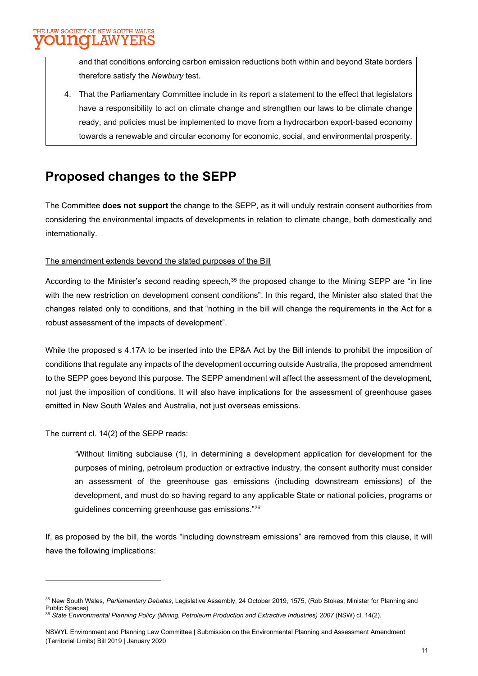and that conditions enforcing carbon emission reductions both within and beyond State borders therefore satisfy the Newbury test.

4. That the Parliamentary Committee include in its report a statement to the effect that legislators have a responsibility to act on climate change and strengthen our laws to be climate change ready, and policies must be implemented to move from a hydrocarbon export-based economy towards a renewable and circular economy for economic, social, and environmental prosperity.

# Proposed changes to the SEPP

The Committee does not support the change to the SEPP, as it will unduly restrain consent authorities from considering the environmental impacts of developments in relation to climate change, both domestically and internationally.

### The amendment extends beyond the stated purposes of the Bill

According to the Minister's second reading speech,<sup>35</sup> the proposed change to the Mining SEPP are "in line with the new restriction on development consent conditions". In this regard, the Minister also stated that the changes related only to conditions, and that "nothing in the bill will change the requirements in the Act for a robust assessment of the impacts of development".

While the proposed s 4.17A to be inserted into the EP&A Act by the Bill intends to prohibit the imposition of conditions that regulate any impacts of the development occurring outside Australia, the proposed amendment to the SEPP goes beyond this purpose. The SEPP amendment will affect the assessment of the development, not just the imposition of conditions. It will also have implications for the assessment of greenhouse gases emitted in New South Wales and Australia, not just overseas emissions.

The current cl. 14(2) of the SEPP reads:

"Without limiting subclause (1), in determining a development application for development for the purposes of mining, petroleum production or extractive industry, the consent authority must consider an assessment of the greenhouse gas emissions (including downstream emissions) of the development, and must do so having regard to any applicable State or national policies, programs or guidelines concerning greenhouse gas emissions."<sup>36</sup>

If, as proposed by the bill, the words "including downstream emissions" are removed from this clause, it will have the following implications:

<sup>&</sup>lt;sup>35</sup> New South Wales, Parliamentary Debates, Legislative Assembly, 24 October 2019, 1575, (Rob Stokes, Minister for Planning and Public Spaces)

<sup>36</sup> State Environmental Planning Policy (Mining, Petroleum Production and Extractive Industries) 2007 (NSW) cl. 14(2).

NSWYL Environment and Planning Law Committee | Submission on the Environmental Planning and Assessment Amendment (Territorial Limits) Bill 2019 | January 2020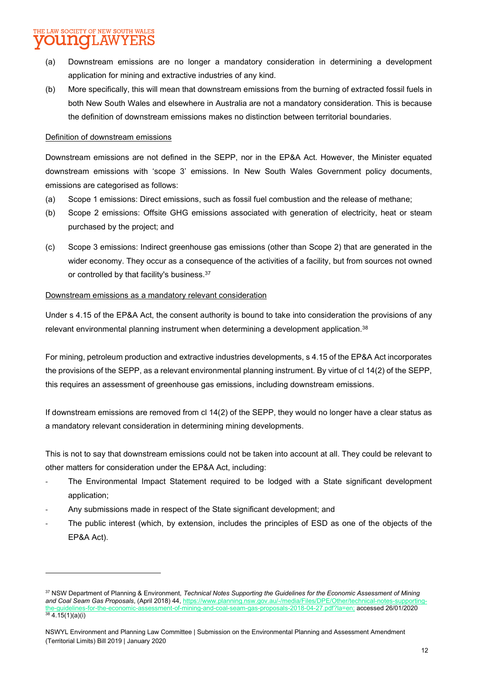## THE LAW SOCIETY OF NEW SOUTH WALES INOL AWYERS

- (a) Downstream emissions are no longer a mandatory consideration in determining a development application for mining and extractive industries of any kind.
- (b) More specifically, this will mean that downstream emissions from the burning of extracted fossil fuels in both New South Wales and elsewhere in Australia are not a mandatory consideration. This is because the definition of downstream emissions makes no distinction between territorial boundaries.

### Definition of downstream emissions

Downstream emissions are not defined in the SEPP, nor in the EP&A Act. However, the Minister equated downstream emissions with 'scope 3' emissions. In New South Wales Government policy documents, emissions are categorised as follows:

- (a) Scope 1 emissions: Direct emissions, such as fossil fuel combustion and the release of methane;
- (b) Scope 2 emissions: Offsite GHG emissions associated with generation of electricity, heat or steam purchased by the project; and
- (c) Scope 3 emissions: Indirect greenhouse gas emissions (other than Scope 2) that are generated in the wider economy. They occur as a consequence of the activities of a facility, but from sources not owned or controlled by that facility's business.<sup>37</sup>

### Downstream emissions as a mandatory relevant consideration

Under s 4.15 of the EP&A Act, the consent authority is bound to take into consideration the provisions of any relevant environmental planning instrument when determining a development application.<sup>38</sup>

For mining, petroleum production and extractive industries developments, s 4.15 of the EP&A Act incorporates the provisions of the SEPP, as a relevant environmental planning instrument. By virtue of cl 14(2) of the SEPP, this requires an assessment of greenhouse gas emissions, including downstream emissions.

If downstream emissions are removed from cl 14(2) of the SEPP, they would no longer have a clear status as a mandatory relevant consideration in determining mining developments.

This is not to say that downstream emissions could not be taken into account at all. They could be relevant to other matters for consideration under the EP&A Act, including:

- The Environmental Impact Statement required to be lodged with a State significant development application;
- Any submissions made in respect of the State significant development; and
- The public interest (which, by extension, includes the principles of ESD as one of the objects of the EP&A Act).

<sup>37</sup> NSW Department of Planning & Environment, Technical Notes Supporting the Guidelines for the Economic Assessment of Mining and Coal Seam Gas Proposals, (April 2018) 44, https://www.planning.nsw.gov.au/-/media/Files/DPE/Other/technical-notes-supporting- $27.$ pdf?la=en: accessed 26/01/2020  $38$  4.15(1)(a)(i)

NSWYL Environment and Planning Law Committee | Submission on the Environmental Planning and Assessment Amendment (Territorial Limits) Bill 2019 | January 2020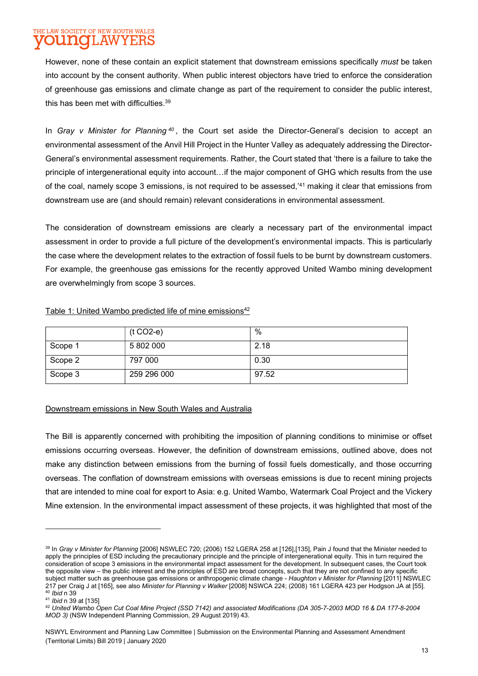#### THE LAW SOCIETY OF NEW SOUTH WALES **AW** J FIIO II. Y E

However, none of these contain an explicit statement that downstream emissions specifically must be taken into account by the consent authority. When public interest objectors have tried to enforce the consideration of greenhouse gas emissions and climate change as part of the requirement to consider the public interest, this has been met with difficulties.<sup>39</sup>

In Gray v Minister for Planning  $40$ , the Court set aside the Director-General's decision to accept an environmental assessment of the Anvil Hill Project in the Hunter Valley as adequately addressing the Director-General's environmental assessment requirements. Rather, the Court stated that 'there is a failure to take the principle of intergenerational equity into account…if the major component of GHG which results from the use of the coal, namely scope 3 emissions, is not required to be assessed,'<sup>41</sup> making it clear that emissions from downstream use are (and should remain) relevant considerations in environmental assessment.

The consideration of downstream emissions are clearly a necessary part of the environmental impact assessment in order to provide a full picture of the development's environmental impacts. This is particularly the case where the development relates to the extraction of fossil fuels to be burnt by downstream customers. For example, the greenhouse gas emissions for the recently approved United Wambo mining development are overwhelmingly from scope 3 sources.

|         | $(t CO2-e)$ | $\%$  |
|---------|-------------|-------|
| Scope 1 | 5 802 000   | 2.18  |
| Scope 2 | 797 000     | 0.30  |
| Scope 3 | 259 296 000 | 97.52 |

### Table 1: United Wambo predicted life of mine emissions<sup>42</sup>

### Downstream emissions in New South Wales and Australia

The Bill is apparently concerned with prohibiting the imposition of planning conditions to minimise or offset emissions occurring overseas. However, the definition of downstream emissions, outlined above, does not make any distinction between emissions from the burning of fossil fuels domestically, and those occurring overseas. The conflation of downstream emissions with overseas emissions is due to recent mining projects that are intended to mine coal for export to Asia: e.g. United Wambo, Watermark Coal Project and the Vickery Mine extension. In the environmental impact assessment of these projects, it was highlighted that most of the

```
41 Ibid n 39 at [135]
```
<sup>39</sup> In Gray v Minister for Planning [2006] NSWLEC 720; (2006) 152 LGERA 258 at [126],[135], Pain J found that the Minister needed to apply the principles of ESD including the precautionary principle and the principle of intergenerational equity. This in turn required the consideration of scope 3 emissions in the environmental impact assessment for the development. In subsequent cases, the Court took the opposite view – the public interest and the principles of ESD are broad concepts, such that they are not confined to any specific subject matter such as greenhouse gas emissions or anthropogenic climate change - Haughton v Minister for Planning [2011] NSWLEC 217 per Craig J at [165], see also Minister for Planning v Walker [2008] NSWCA 224; (2008) 161 LGERA 423 per Hodgson JA at [55]. <sup>40</sup> Ibid n 39

<sup>42</sup> United Wambo Open Cut Coal Mine Project (SSD 7142) and associated Modifications (DA 305-7-2003 MOD 16 & DA 177-8-2004 MOD 3) (NSW Independent Planning Commission, 29 August 2019) 43.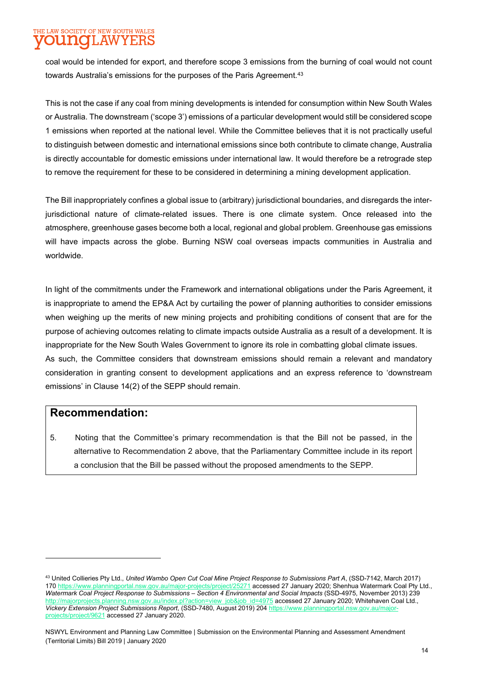## THE LAW SOCIETY OF NEW SOUTH WALES UNOLAWYERS

coal would be intended for export, and therefore scope 3 emissions from the burning of coal would not count towards Australia's emissions for the purposes of the Paris Agreement.<sup>43</sup>

This is not the case if any coal from mining developments is intended for consumption within New South Wales or Australia. The downstream ('scope 3') emissions of a particular development would still be considered scope 1 emissions when reported at the national level. While the Committee believes that it is not practically useful to distinguish between domestic and international emissions since both contribute to climate change, Australia is directly accountable for domestic emissions under international law. It would therefore be a retrograde step to remove the requirement for these to be considered in determining a mining development application.

The Bill inappropriately confines a global issue to (arbitrary) jurisdictional boundaries, and disregards the interjurisdictional nature of climate-related issues. There is one climate system. Once released into the atmosphere, greenhouse gases become both a local, regional and global problem. Greenhouse gas emissions will have impacts across the globe. Burning NSW coal overseas impacts communities in Australia and worldwide.

In light of the commitments under the Framework and international obligations under the Paris Agreement, it is inappropriate to amend the EP&A Act by curtailing the power of planning authorities to consider emissions when weighing up the merits of new mining projects and prohibiting conditions of consent that are for the purpose of achieving outcomes relating to climate impacts outside Australia as a result of a development. It is inappropriate for the New South Wales Government to ignore its role in combatting global climate issues. As such, the Committee considers that downstream emissions should remain a relevant and mandatory consideration in granting consent to development applications and an express reference to 'downstream emissions' in Clause 14(2) of the SEPP should remain.

## Recommendation:

5. Noting that the Committee's primary recommendation is that the Bill not be passed, in the alternative to Recommendation 2 above, that the Parliamentary Committee include in its report a conclusion that the Bill be passed without the proposed amendments to the SEPP.

<sup>43</sup> United Collieries Pty Ltd., United Wambo Open Cut Coal Mine Project Response to Submissions Part A, (SSD-7142, March 2017) 170 https://www.planningportal.nsw.gov.au/major-projects/project/25271 accessed 27 January 2020; Shenhua Watermark Coal Pty Ltd., Watermark Coal Project Response to Submissions – Section 4 Environmental and Social Impacts (SSD-4975, November 2013) 239 http://majorprojects.planning.nsw.gov.au/index.pl?action=view\_job&job\_id=4975 accessed 27 January 2020; Whitehaven Coal Ltd., Vickery Extension Project Submissions Report, (SSD-7480, August 2019) 204 https://www.planningportal.nsw.gov projects/project/9621 accessed 27 January 2020.